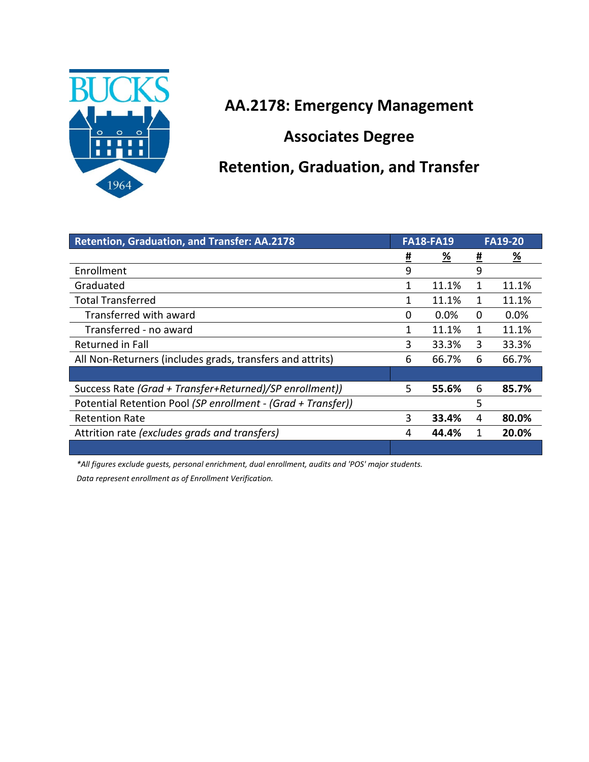

## **AA.2178: Emergency Management**

**Associates Degree**

## **Retention, Graduation, and Transfer**

| <b>Retention, Graduation, and Transfer: AA.2178</b>          |          | <b>FA18-FA19</b> |          | <b>FA19-20</b> |  |
|--------------------------------------------------------------|----------|------------------|----------|----------------|--|
|                                                              | <u>#</u> | <u>%</u>         | <u>#</u> | <u>%</u>       |  |
| Enrollment                                                   | 9        |                  | 9        |                |  |
| Graduated                                                    | 1        | 11.1%            | 1        | 11.1%          |  |
| <b>Total Transferred</b>                                     | 1        | 11.1%            | 1        | 11.1%          |  |
| Transferred with award                                       | 0        | $0.0\%$          | 0        | $0.0\%$        |  |
| Transferred - no award                                       | 1        | 11.1%            | 1        | 11.1%          |  |
| <b>Returned in Fall</b>                                      | 3        | 33.3%            | 3        | 33.3%          |  |
| All Non-Returners (includes grads, transfers and attrits)    |          | 66.7%            | 6        | 66.7%          |  |
|                                                              |          |                  |          |                |  |
| Success Rate (Grad + Transfer+Returned)/SP enrollment))      |          | 55.6%            | 6        | 85.7%          |  |
| Potential Retention Pool (SP enrollment - (Grad + Transfer)) |          |                  | 5        |                |  |
| <b>Retention Rate</b>                                        | 3        | 33.4%            | 4        | 80.0%          |  |
| Attrition rate (excludes grads and transfers)                |          | 44.4%            | 1        | 20.0%          |  |
|                                                              |          |                  |          |                |  |

*\*All figures exclude guests, personal enrichment, dual enrollment, audits and 'POS' major students.* 

*Data represent enrollment as of Enrollment Verification.*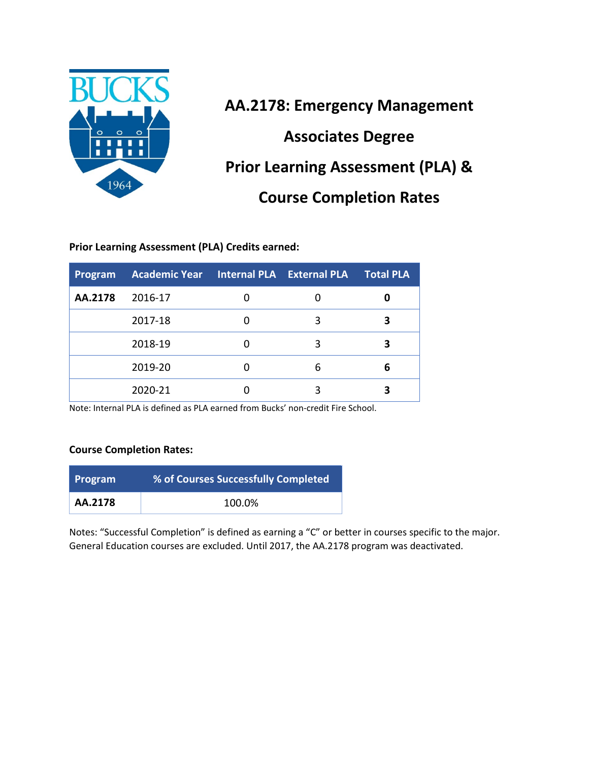

**AA.2178: Emergency Management Associates Degree Prior Learning Assessment (PLA) & Course Completion Rates**

**Prior Learning Assessment (PLA) Credits earned:**

| Program | Academic Year Internal PLA External PLA |   | <b>Total PLA</b> |
|---------|-----------------------------------------|---|------------------|
| AA.2178 | 2016-17                                 |   |                  |
|         | 2017-18                                 | 3 |                  |
|         | 2018-19                                 | 3 |                  |
|         | 2019-20                                 |   | 6                |
|         | 2020-21                                 |   |                  |

Note: Internal PLA is defined as PLA earned from Bucks' non-credit Fire School.

#### **Course Completion Rates:**

| <b>Program</b> | % of Courses Successfully Completed |
|----------------|-------------------------------------|
| AA.2178        | 100.0%                              |

Notes: "Successful Completion" is defined as earning a "C" or better in courses specific to the major. General Education courses are excluded. Until 2017, the AA.2178 program was deactivated.